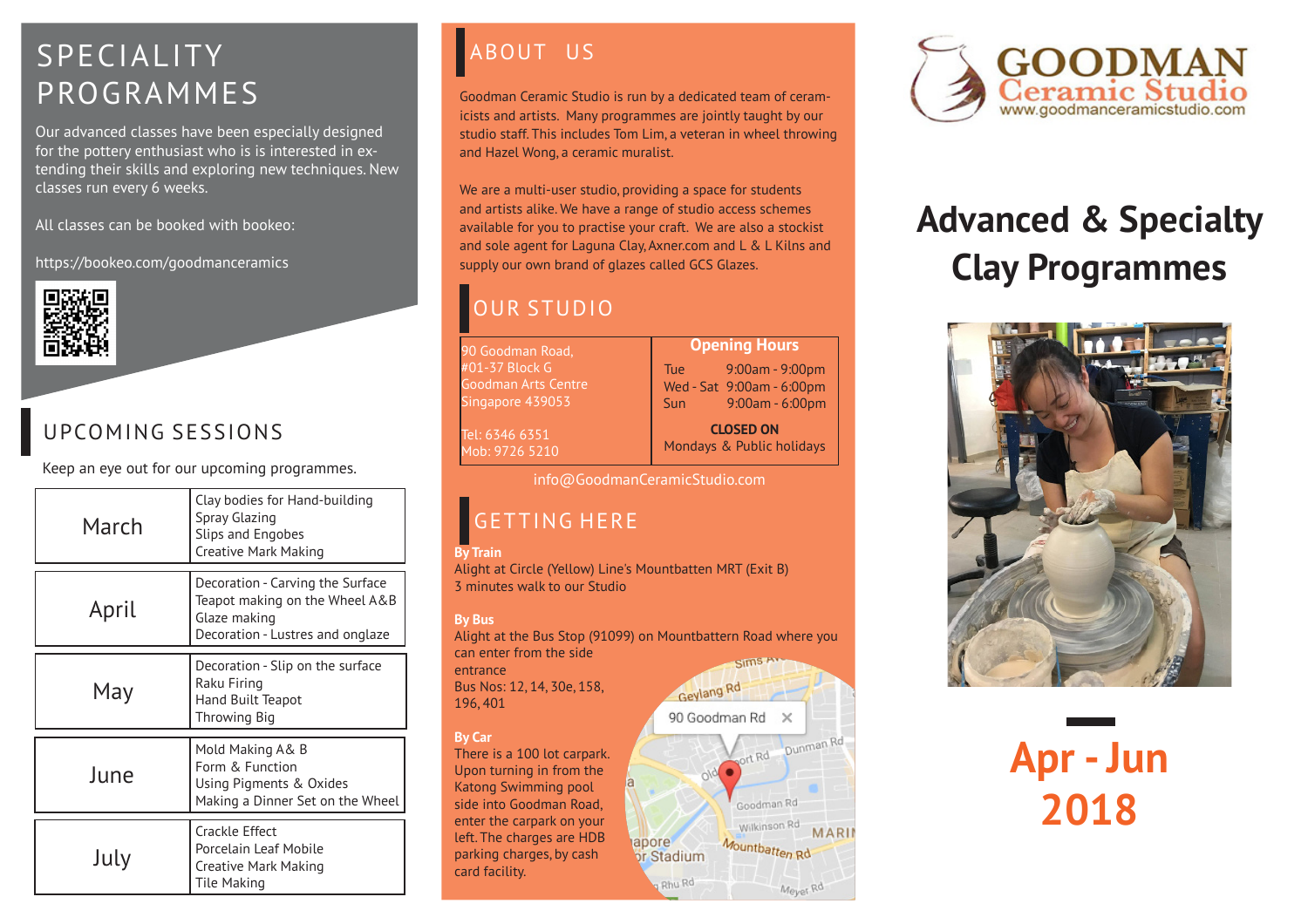# SPECIALITY ABOUT US PROGRAMMES

Our advanced classes have been especially designed for the pottery enthusiast who is is interested in extending their skills and exploring new techniques. New classes run every 6 weeks.

All classes can be booked with bookeo:

https://bookeo.com/goodmanceramics



# UPCOMING SESSIONS

Keep an eye out for our upcoming programmes.

| March | Clay bodies for Hand-building<br>Spray Glazing<br>Slips and Engobes<br>Creative Mark Making                            |
|-------|------------------------------------------------------------------------------------------------------------------------|
| April | Decoration - Carving the Surface<br>Teapot making on the Wheel A&B<br>Glaze making<br>Decoration - Lustres and onglaze |
| May   | Decoration - Slip on the surface<br>Raku Firing<br>Hand Built Teapot<br>Throwing Big                                   |
| June  | Mold Making A& B<br>Form & Function<br>Using Pigments & Oxides<br>Making a Dinner Set on the Wheel                     |
| July  | Crackle Effect<br>Porcelain Leaf Mobile<br>Creative Mark Making<br>Tile Making                                         |

Goodman Ceramic Studio is run by a dedicated team of ceramicists and artists. Many programmes are jointly taught by our studio staff. This includes Tom Lim, a veteran in wheel throwing and Hazel Wong, a ceramic muralist.

We are a multi-user studio, providing a space for students and artists alike. We have a range of studio access schemes available for you to practise your craft. We are also a stockist and sole agent for Laguna Clay, Axner.com and L & L Kilns and supply our own brand of glazes called GCS Glazes.

# OUR STUDIO

90 Goodman Road, #01-37 Block G Goodman Arts Centre Singapore 439053

Tel: 6346 6351 Mob: 9726 5210 Tue 9:00am - 9:00pm Wed - Sat 9:00am - 6:00pm Sun 9:00am - 6:00pm

**CLOSED ON**  Mondays & Public holidays

info@GoodmanCeramicStudio.com

# GETTING HERE

#### **By Train**

Alight at Circle (Yellow) Line's Mountbatten MRT (Exit B) 3 minutes walk to our Studio

#### **By Bus**

Alight at the Bus Stop (91099) on Mountbattern Road where you can enter from the side Sims **PY** entrance

Rhu Rd

Bus Nos: 12, 14, 30e, 158, 196, 401

#### **By Car**

There is a 100 lot carpark. Upon turning in from the Katong Swimming pool side into Goodman Road, enter the carpark on your left. The charges are HDB parking charges, by cash card facility.



Meyer Rd



# **Advanced & Specialty Clay Programmes**





**Opening Hours**